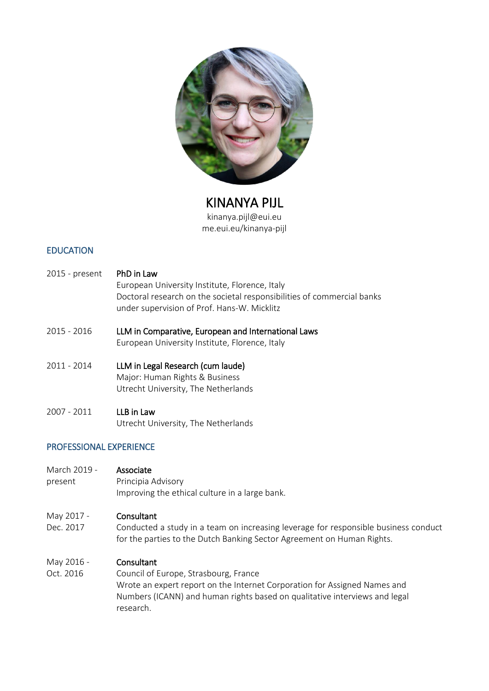

KINANYA PIJL kinanya.pijl@eui.eu me.eui.eu/kinanya-pijl

# EDUCATION

- 2015 present PhD in Law European University Institute, Florence, Italy Doctoral research on the societal responsibilities of commercial banks under supervision of Prof. Hans-W. Micklitz
- 2015 2016 LLM in Comparative, European and International Laws European University Institute, Florence, Italy
- 2011 2014 LLM in Legal Research (cum laude) Major: Human Rights & Business Utrecht University, The Netherlands
- 2007 2011 LLB in Law Utrecht University, The Netherlands

## PROFESSIONAL EXPERIENCE

- March 2019 **Associate**
- present Principia Advisory Improving the ethical culture in a large bank.

## May 2017 - Consultant

Dec. 2017 Conducted a study in a team on increasing leverage for responsible business conduct for the parties to the Dutch Banking Sector Agreement on Human Rights.

## May 2016 - Consultant

Oct. 2016 Council of Europe, Strasbourg, France Wrote an expert report on the Internet Corporation for Assigned Names and Numbers (ICANN) and human rights based on qualitative interviews and legal research.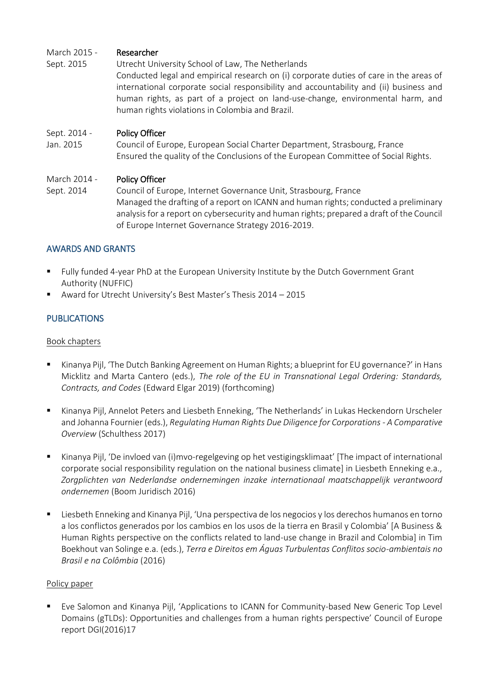# March 2015 - Researcher

Sept. 2015 Utrecht University School of Law, The Netherlands Conducted legal and empirical research on (i) corporate duties of care in the areas of international corporate social responsibility and accountability and (ii) business and human rights, as part of a project on land-use-change, environmental harm, and human rights violations in Colombia and Brazil.

#### Sept. 2014 - Policy Officer

Jan. 2015 Council of Europe, European Social Charter Department, Strasbourg, France Ensured the quality of the Conclusions of the European Committee of Social Rights.

#### March 2014 - Policy Officer

Sept. 2014 Council of Europe, Internet Governance Unit, Strasbourg, France Managed the drafting of a report on ICANN and human rights; conducted a preliminary analysis for a report on cybersecurity and human rights; prepared a draft of the Council of Europe Internet Governance Strategy 2016-2019.

## AWARDS AND GRANTS

- Fully funded 4-year PhD at the European University Institute by the Dutch Government Grant Authority (NUFFIC)
- Award for Utrecht University's Best Master's Thesis 2014 2015

## **PUBLICATIONS**

#### Book chapters

- Kinanya Pijl, 'The Dutch Banking Agreement on Human Rights; a blueprint for EU governance?' in Hans Micklitz and Marta Cantero (eds.), *The role of the EU in Transnational Legal Ordering: Standards, Contracts, and Codes* (Edward Elgar 2019) (forthcoming)
- Kinanya Pijl, Annelot Peters and Liesbeth Enneking, 'The Netherlands' in Lukas Heckendorn Urscheler and Johanna Fournier (eds.), *Regulating Human Rights Due Diligence for Corporations - A Comparative Overview* (Schulthess 2017)
- Kinanya Pijl, 'De invloed van (i)mvo-regelgeving op het vestigingsklimaat' [The impact of international corporate social responsibility regulation on the national business climate] in Liesbeth Enneking e.a., *Zorgplichten van Nederlandse ondernemingen inzake internationaal maatschappelijk verantwoord ondernemen* (Boom Juridisch 2016)
- Liesbeth Enneking and Kinanya Pijl, 'Una perspectiva de los negocios y los derechos humanos en torno a los conflictos generados por los cambios en los usos de la tierra en Brasil y Colombia' [A Business & Human Rights perspective on the conflicts related to land-use change in Brazil and Colombia] in Tim Boekhout van Solinge e.a. (eds.), *Terra e Direitos em Águas Turbulentas Conflitos socio-ambientais no Brasil e na Colômbia* (2016)

#### Policy paper

■ Eve Salomon and Kinanya Pijl, 'Applications to ICANN for Community-based New Generic Top Level Domains (gTLDs): Opportunities and challenges from a human rights perspective' Council of Europe report DGI(2016)17